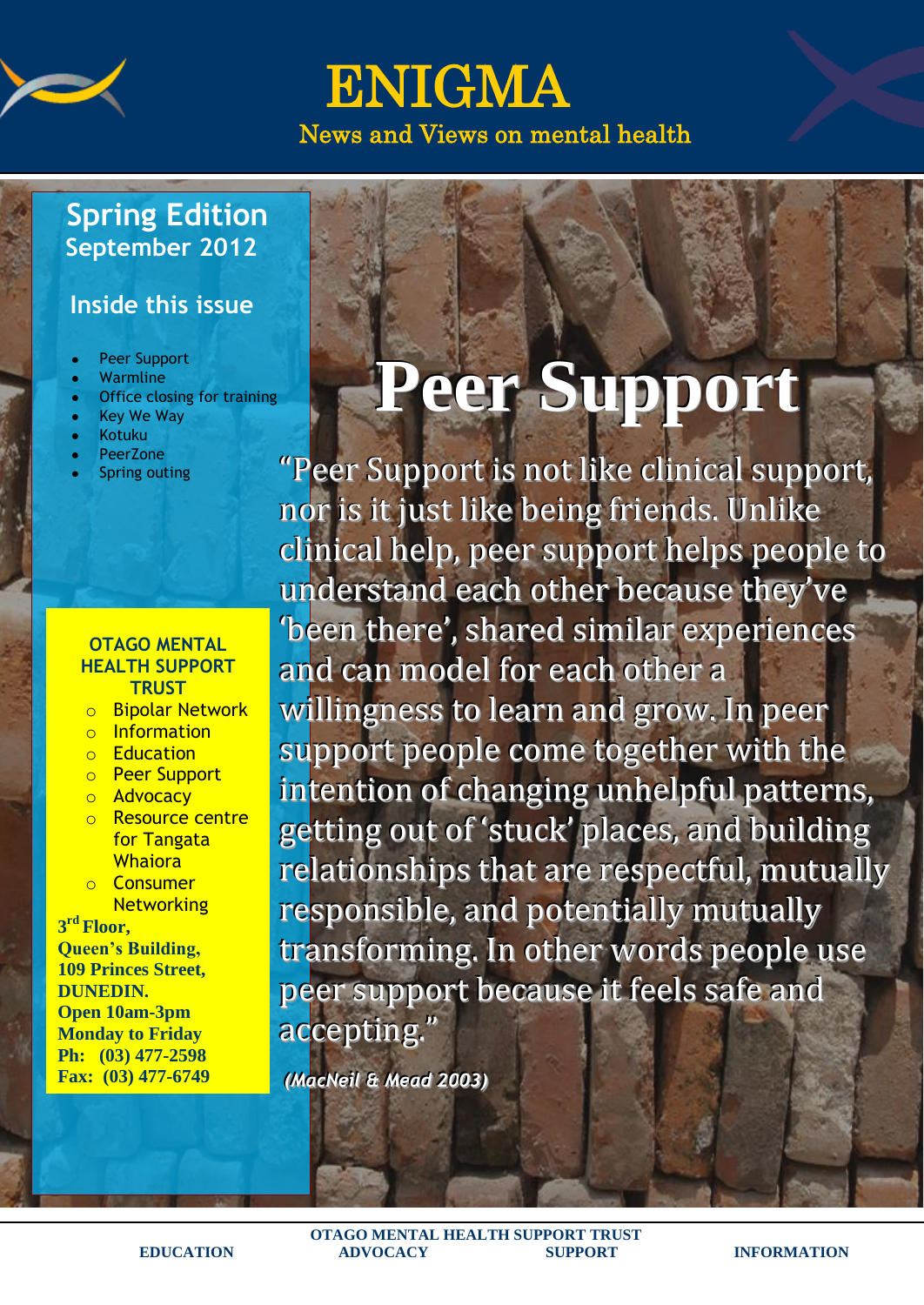

ENIGMA News and Views on mental health

## **Spring Edition September 2012**

### **Inside this issue**

- Peer Support
- Warmline
- Office closing for training
- Key We Way
- Kotuku
- PeerZone
- Spring outing

#### **OTAGO MENTAL HEALTH SUPPORT TRUST**

- o Bipolar Network
- o Information
- o Education
- o Peer Support
- o Advocacy
- o Resource centre for Tangata **Whaiora**
- o Consumer **Networking**

**3 rd Floor,**

**Queen's Building, 109 Princes Street, DUNEDIN. Open 10am-3pm Monday to Friday Ph: (03) 477-2598**

**Fax: (03) 477-6749 [otagomd@ihug.co.nz](mailto:otagomd@ihug.co.nz)**

# **Peer Support**

"Peer Support is not like clinical support, nor is it just like being friends. Unlike clinical help,, peer support helps people to understand each other because they've 'been there', shared similar experiences and can model for each other a willingness to learn and grow. In peer support people come together with the intention of changing unhelpful patterns, getting out of 'stuck' places, and building relationships that are respectful, mutually responsible, and potentially mutually transforming. In other words people use peer support because it feels safe and accepting.."

*(MacNeil & Mead 2003)*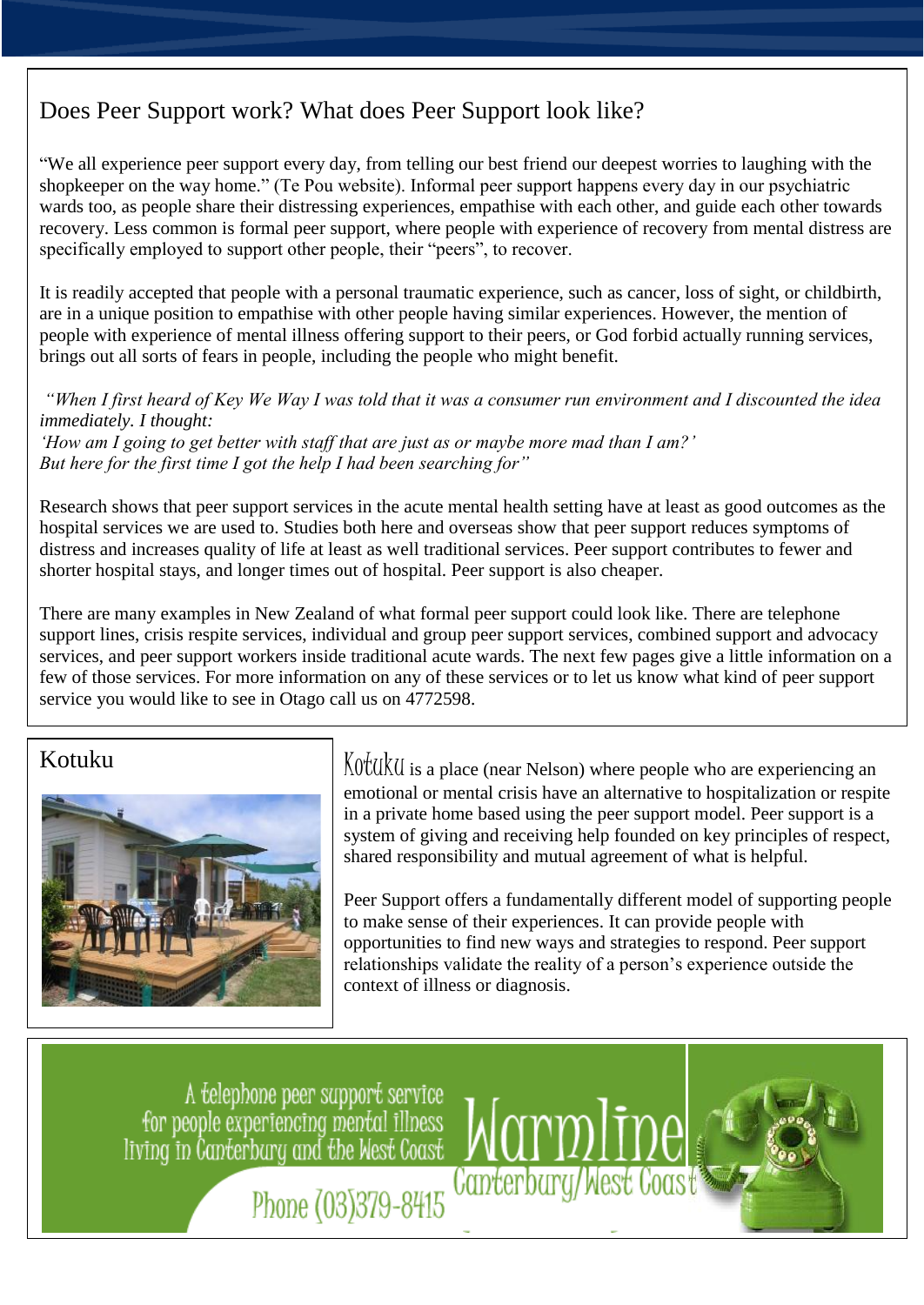### Does Peer Support work? What does Peer Support look like?

"We all experience peer support every day, from telling our best friend our deepest worries to laughing with the shopkeeper on the way home." (Te Pou website). Informal peer support happens every day in our psychiatric wards too, as people share their distressing experiences, empathise with each other, and guide each other towards recovery. Less common is formal peer support, where people with experience of recovery from mental distress are specifically employed to support other people, their "peers", to recover.

It is readily accepted that people with a personal traumatic experience, such as cancer, loss of sight, or childbirth, are in a unique position to empathise with other people having similar experiences. However, the mention of people with experience of mental illness offering support to their peers, or God forbid actually running services, brings out all sorts of fears in people, including the people who might benefit.

#### *"When I first heard of Key We Way I was told that it was a consumer run environment and I discounted the idea immediately. I thought:*

*'How am I going to get better with staff that are just as or maybe more mad than I am?' But here for the first time I got the help I had been searching for"*

Research shows that peer support services in the acute mental health setting have at least as good outcomes as the hospital services we are used to. Studies both here and overseas show that peer support reduces symptoms of distress and increases quality of life at least as well traditional services. Peer support contributes to fewer and shorter hospital stays, and longer times out of hospital. Peer support is also cheaper.

There are many examples in New Zealand of what formal peer support could look like. There are telephone support lines, crisis respite services, individual and group peer support services, combined support and advocacy services, and peer support workers inside traditional acute wards. The next few pages give a little information on a few of those services. For more information on any of these services or to let us know what kind of peer support service you would like to see in Otago call us on 4772598.



Kotuku  $\big|$  Kotuku  $\big|$ Kotuku is a place (near Nelson) where people who are experiencing an emotional or mental crisis have an alternative to hospitalization or respite in a private home based using the peer support model. Peer support is a system of giving and receiving help founded on key principles of respect, shared responsibility and mutual agreement of what is helpful.

> Peer Support offers a fundamentally different model of supporting people to make sense of their experiences. It can provide people with opportunities to find new ways and strategies to respond. Peer support relationships validate the reality of a person's experience outside the context of illness or diagnosis.

A telephone peer support service for people experiencing mental illness<br>living in Canterbary and the West Coast

**Canterbury/West Coast** Phone (03)379-8415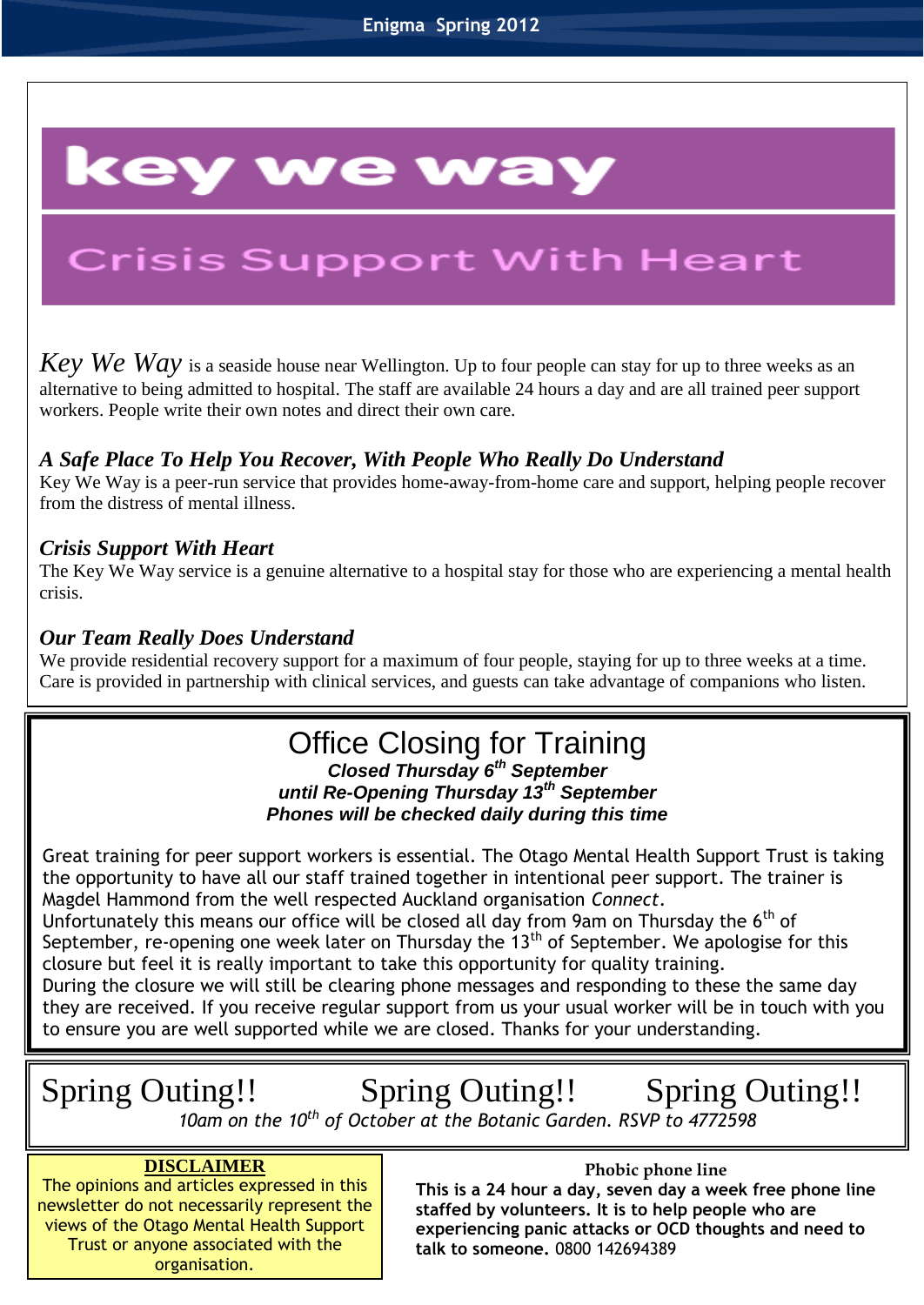# key we way

# **Crisis Support With Heart**

*Key We Way* is a seaside house near Wellington. Up to four people can stay for up to three weeks as an alternative to being admitted to hospital. The staff are available 24 hours a day and are all trained peer support workers. People write their own notes and direct their own care.

#### *A Safe Place To Help You Recover, With People Who Really Do Understand*

Key We Way is a peer-run service that provides home-away-from-home care and support, helping people recover from the distress of mental illness.

#### *Crisis Support With Heart*

I

The Key We Way service is a genuine alternative to a hospital stay for those who are experiencing a mental health crisis.

#### *Our Team Really Does Understand*

We provide residential recovery support for a maximum of four people, staying for up to three weeks at a time. Care is provided in partnership with clinical services, and guests can take advantage of companions who listen.

# Office Closing for Training

#### *Closed Thursday 6th September until Re-Opening Thursday 13th September Phones will be checked daily during this time*

Great training for peer support workers is essential. The Otago Mental Health Support Trust is taking the opportunity to have all our staff trained together in intentional peer support. The trainer is Magdel Hammond from the well respected Auckland organisation *Connect*.

Unfortunately this means our office will be closed all day from 9am on Thursday the 6<sup>th</sup> of September, re-opening one week later on Thursday the  $13<sup>th</sup>$  of September. We apologise for this closure but feel it is really important to take this opportunity for quality training.

During the closure we will still be clearing phone messages and responding to these the same day they are received. If you receive regular support from us your usual worker will be in touch with you to ensure you are well supported while we are closed. Thanks for your understanding.

# Spring Outing!! Spring Outing!! Spring Outing!!

*10am on the 10th of October at the Botanic Garden. RSVP to 4772598*

#### **DISCLAIMER**

The opinions and articles expressed in this newsletter do not necessarily represent the views of the Otago Mental Health Support Trust or anyone associated with the organisation.

#### **Phobic phone line**

**This is a 24 hour a day, seven day a week free phone line staffed by volunteers. It is to help people who are experiencing panic attacks or OCD thoughts and need to talk to someone.** 0800 142694389